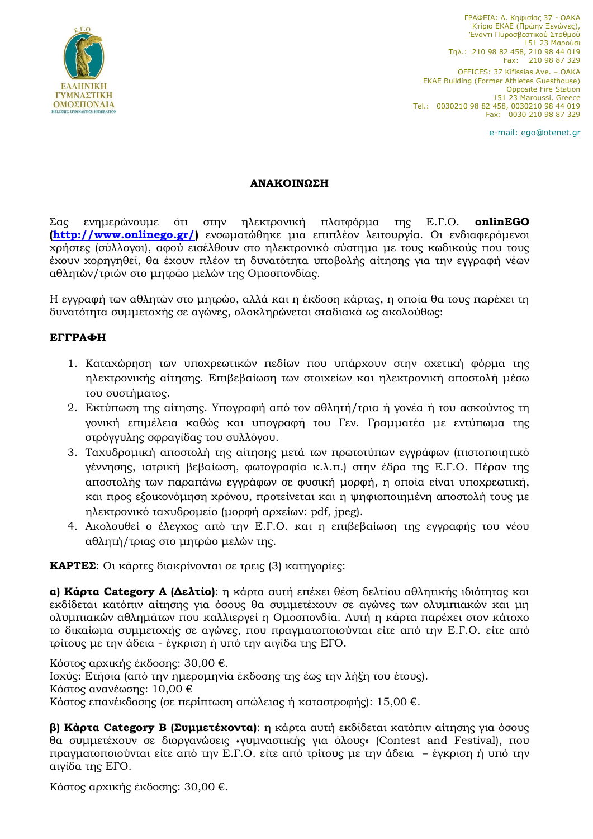

ΓΡΑΦΕΙΑ: Λ. Κηφισίας 37 - ΟΑΚΑ Κτίριο ΕΚΑΕ (Πρώην Ξενώνες), Έναντι Πυροσβεστικού Σταθμού 151 23 Μαρούσι  $T\eta\lambda$ .: 210 98 82 458, 210 98 44 019 Fax: 210 98 87 329 OFFICES: 37 Kifissias Ave. – OAKA EKAE Building (Former Athletes Guesthouse) Opposite Fire Station 151 23 Maroussi, Greece Tel.: 0030210 98 82 458, 0030210 98 44 019 Fax: 0030 210 98 87 329

e-mail: ego@otenet.gr

## **ΑΝΑƬΟƫΝΩƴΗ**

Σας ενημερώνουμε ότι στην ηλεκτρονική πλατφόρμα της Ε.Γ.Ο. **onlinEGO [\(http://www.onlinego.gr/\)](http://www.onlinego.gr/)** ενσωματώθηκε μια επιπλέον λειτουργία. Οι ενδιαφερόμενοι xρήστες (σύλλογοι), αφού εισέλθουν στο ηλεκτρονικό σύστημα με τους κωδικούς που τους έχουν χορηγηθεί, θα έχουν πλέον τη δυνατότητα υποβολής αίτησης για την εγγραφή νέων aθλητών/τριών στο μητρώο μελών της Ομοσπονδίας.

Η εγγραφή των αθλητών στο μητρώο, αλλά και η έκδοση κάρτας, η οποία θα τους παρέχει τη δυνατότητα συμμετοχής σε αγώνες, ολοκληρώνεται σταδιακά ως ακολούθως:

## **ƧƥƥΡΑΦΗ**

- 1. Καταχώρηση των υποχρεωτικών πεδίων που υπάρχουν στην σχετική φόρμα της ηλεκτρονικής αίτησης. Επιβεβαίωση των στοιχείων και ηλεκτρονική αποστολή μέσω του συστήματος.
- 2. Εκτύπωση της αίτησης. Υπογραφή από τον αθλητή/τρια ή γονέα ή του ασκούντος τη γονική επιμέλεια καθώς και υπογραφή του Γεν. Γραμματέα με εντύπωμα της στρόγγυλης σφραγίδας του συλλόγου.
- 3. Ταχυδρομική αποστολή της αίτησης μετά των πρωτοτύπων εγγράφων (πιστοποιητικό γέννησης, ιατρική βεβαίωση, φωτογραφία κ.λ.π.) στην έδρα της Ε.Γ.Ο. Πέραν της αποστολής των παραπάνω εγγράφων σε φυσική μορφή, η οποία είναι υποχρεωτική, και προς εξοικονόμηση χρόνου, προτείνεται και η ψηφιοποιημένη αποστολή τους με ηλεκτρονικό ταχυδρομείο (μορφή αρχείων: pdf, jpeg).
- 4. Ακολουθεί ο έλεγχος από την Ε.Γ.Ο. και η επιβεβαίωση της εγγραφής του νέου  $\alpha$ θλητή/τριας στο μητρώο μελών της.

**ΚΑΡΤΕΣ:** Οι κάρτες διακρίνονται σε τρεις (3) κατηγορίες:

**a) Κάρτα Category Α (Δελτίο):** η κάρτα αυτή επέχει θέση δελτίου αθλητικής ιδιότητας και εκδίδεται κατόπιν αίτησης για όσους θα συμμετέχουν σε αγώνες των ολυμπιακών και μη ολυμπιακών αθλημάτων που καλλιεονεί η Ομοσπονδία. Αυτή η κάρτα παρέχει στον κάτοχο το δικαίωμα συμμετοχής σε αγώνες, που πραγματοποιούνται είτε από την Ε.Γ.Ο. είτε από τρίτους με την άδεια - έγκριση ή υπό την αιγίδα της ΕΓΟ.

Κόστος αρχικής έκδοσης: 30,00 €. Ισχύς: Ετήσια (από την ημερομηνία έκδοσης της έως την λήξη του έτους). Κόστος ανανέωσης: 10,00 € Κόστος επανέκδοσης (σε περίπτωση απώλειας ή καταστροφής): 15,00 €.

**β) Κάρτα Category B (Συμμετέχοντα):** η κάρτα αυτή εκδίδεται κατόπιν αίτησης για όσους θα συμμετέχουν σε διοργανώσεις «γυμναστικής για όλους» (Contest and Festival), που πραγματοποιούνται είτε από την Ε.Γ.Ο. είτε από τρίτους με την άδεια - έγκριση ή υπό την αιγίδα της ΕΓΟ.

Kόστος αρχικής έκδοσης: 30,00 €.